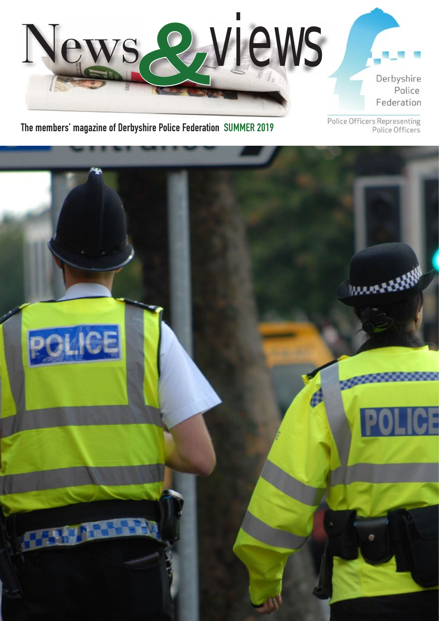

**The members' magazine of Derbyshire Police Federation SUMMER 2019**

Police Officers Representing<br>Police Officers

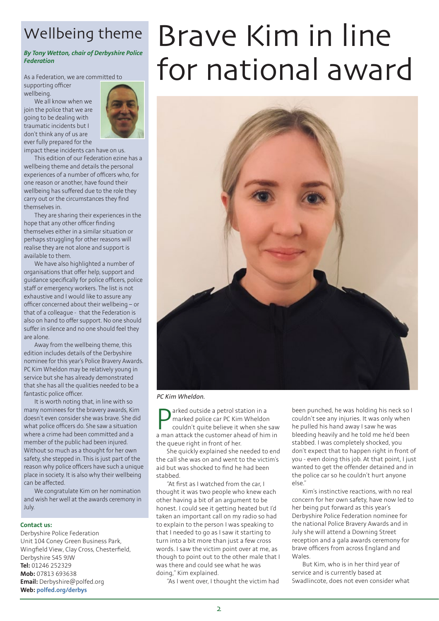## Wellbeing theme

### *By Tony Wetton, chair of Derbyshire Police Federation*

As a Federation, we are committed to supporting officer wellbeing.

We all know when we join the police that we are going to be dealing with traumatic incidents but I don't think any of us are ever fully prepared for the



impact these incidents can have on us.

This edition of our Federation ezine has a wellbeing theme and details the personal experiences of a number of officers who, for one reason or another, have found their wellbeing has suffered due to the role they carry out or the circumstances they find themselves in.

They are sharing their experiences in the hope that any other officer finding themselves either in a similar situation or perhaps struggling for other reasons will realise they are not alone and support is available to them.

We have also highlighted a number of organisations that offer help, support and guidance specifically for police officers, police staff or emergency workers. The list is not exhaustive and I would like to assure any officer concerned about their wellbeing – or that of a colleague - that the Federation is also on hand to offer support. No one should suffer in silence and no one should feel they are alone.

Away from the wellbeing theme, this edition includes details of the Derbyshire nominee for this year's Police Bravery Awards. PC Kim Wheldon may be relatively young in service but she has already demonstrated that she has all the qualities needed to be a fantastic police officer.

It is worth noting that, in line with so many nominees for the bravery awards, Kim doesn't even consider she was brave. She did what police officers do. She saw a situation where a crime had been committed and a member of the public had been injured. Without so much as a thought for her own safety, she stepped in. This is just part of the reason why police officers have such a unique place in society. It is also why their wellbeing can be affected.

We congratulate Kim on her nomination and wish her well at the awards ceremony in July.

#### **Contact us:**

Derbyshire Police Federation Unit 104 Coney Green Business Park, Wingfield View, Clay Cross, Chesterfield, Derbyshire S45 9JW **Tel:** 01246 252329 **Mob:** 07813 693638 **Email:** [Derbyshire@polfed.org](mailto:Derbyshire@polfed.org) **Web: [polfed.org/derbys](http://polfed.org/derbys)**

# Brave Kim in line for national award



*PC Kim Wheldon.*

**P** arked outside a petrol station in a<br>marked police car PC Kim Wheldon<br>couldn't quite believe it when she saw<br>a man attack the customer ahead of him in arked outside a petrol station in a marked police car PC Kim Wheldon couldn't quite believe it when she saw the queue right in front of her.

She quickly explained she needed to end the call she was on and went to the victim's aid but was shocked to find he had been stabbed.

"At first as I watched from the car, I thought it was two people who knew each other having a bit of an argument to be honest. I could see it getting heated but I'd taken an important call on my radio so had to explain to the person I was speaking to that I needed to go as I saw it starting to turn into a bit more than just a few cross words. I saw the victim point over at me, as though to point out to the other male that I was there and could see what he was doing," Kim explained.

"As I went over, I thought the victim had

been punched, he was holding his neck so I couldn't see any injuries. It was only when he pulled his hand away I saw he was bleeding heavily and he told me he'd been stabbed. I was completely shocked, you don't expect that to happen right in front of you - even doing this job. At that point, I just wanted to get the offender detained and in the police car so he couldn't hurt anyone else."

Kim's instinctive reactions, with no real concern for her own safety, have now led to her being put forward as this year's Derbyshire Police Federation nominee for the national Police Bravery Awards and in July she will attend a Downing Street reception and a gala awards ceremony for brave officers from across England and Wales.

But Kim, who is in her third year of service and is currently based at Swadlincote, does not even consider what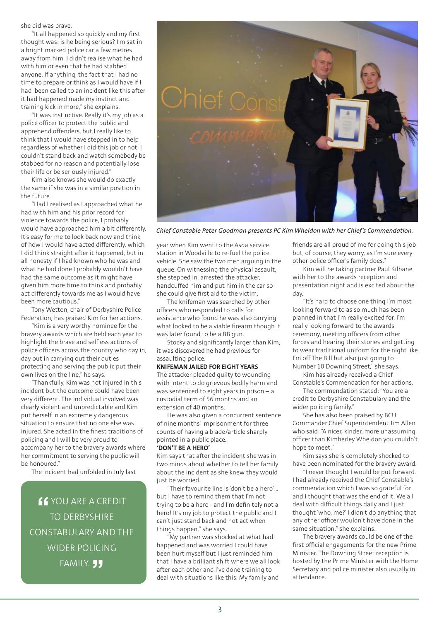she did was brave.

"It all happened so quickly and my first thought was: is he being serious? I'm sat in a bright marked police car a few metres away from him. I didn't realise what he had with him or even that he had stabbed anyone. If anything, the fact that I had no time to prepare or think as I would have if I had been called to an incident like this after it had happened made my instinct and training kick in more," she explains.

"It was instinctive. Really it's my job as a police officer to protect the public and apprehend offenders, but I really like to think that I would have stepped in to help regardless of whether I did this job or not. I couldn't stand back and watch somebody be stabbed for no reason and potentially lose their life or be seriously injured."

Kim also knows she would do exactly the same if she was in a similar position in the future.

"Had I realised as I approached what he had with him and his prior record for violence towards the police, I probably would have approached him a bit differently. It's easy for me to look back now and think of how I would have acted differently, which I did think straight after it happened, but in all honesty if I had known who he was and what he had done I probably wouldn't have had the same outcome as it might have given him more time to think and probably act differently towards me as I would have been more cautious."

Tony Wetton, chair of Derbyshire Police Federation, has praised Kim for her actions.

"Kim is a very worthy nominee for the bravery awards which are held each year to highlight the brave and selfless actions of police officers across the country who day in, day out in carrying out their duties protecting and serving the public put their own lives on the line," he says.

"Thankfully, Kim was not injured in this incident but the outcome could have been very different. The individual involved was clearly violent and unpredictable and Kim put herself in an extremely dangerous situation to ensure that no one else was injured. She acted in the finest traditions of policing and I will be very proud to accompany her to the bravery awards where her commitment to serving the public will be honoured."

The incident had unfolded in July last

**"** YOU ARE A CREDIT TO DERBYSHIRE CONSTABULARY AND THE WIDER POLICING **FAMILY. JJ** 



*Chief Constable Peter Goodman presents PC Kim Wheldon with her Chief's Commendation.*

year when Kim went to the Asda service station in Woodville to re-fuel the police vehicle. She saw the two men arguing in the queue. On witnessing the physical assault, she stepped in, arrested the attacker, handcuffed him and put him in the car so she could give first aid to the victim.

The knifeman was searched by other officers who responded to calls for assistance who found he was also carrying what looked to be a viable firearm though it was later found to be a BB gun.

Stocky and significantly larger than Kim, it was discovered he had previous for assaulting police.

#### **KNIFEMAN JAILED FOR EIGHT YEARS**

The attacker pleaded guilty to wounding with intent to do grievous bodily harm and was sentenced to eight years in prison – a custodial term of 56 months and an extension of 40 months.

He was also given a concurrent sentence of nine months' imprisonment for three counts of having a blade/article sharply pointed in a public place.

### **'DON'T BE A HERO'**

Kim says that after the incident she was in two minds about whether to tell her family about the incident as she knew they would just be worried.

"Their favourite line is 'don't be a hero'… but I have to remind them that I'm not trying to be a hero - and I'm definitely not a hero! It's my job to protect the public and I can't just stand back and not act when things happen," she says.

"My partner was shocked at what had happened and was worried I could have been hurt myself but I just reminded him that I have a brilliant shift where we all look after each other and I've done training to deal with situations like this. My family and

friends are all proud of me for doing this job but, of course, they worry, as I'm sure every other police officer's family does."

Kim will be taking partner Paul Kilbane with her to the awards reception and presentation night and is excited about the day.

"It's hard to choose one thing I'm most looking forward to as so much has been planned in that I'm really excited for. I'm really looking forward to the awards ceremony, meeting officers from other forces and hearing their stories and getting to wear traditional uniform for the night like I'm off The Bill but also just going to Number 10 Downing Street," she says.

Kim has already received a Chief

Constable's Commendation for her actions. The commendation stated: "You are a credit to Derbyshire Constabulary and the

wider policing family." She has also been praised by BCU Commander Chief Superintendent Jim Allen who said: "A nicer, kinder, more unassuming officer than Kimberley Wheldon you couldn't hope to meet."

Kim says she is completely shocked to have been nominated for the bravery award.

"I never thought I would be put forward. I had already received the Chief Constable's commendation which I was so grateful for and I thought that was the end of it. We all deal with difficult things daily and I just thought 'who, me?' I didn't do anything that any other officer wouldn't have done in the same situation," she explains.

The bravery awards could be one of the first official engagements for the new Prime Minister. The Downing Street reception is hosted by the Prime Minister with the Home Secretary and police minister also usually in attendance.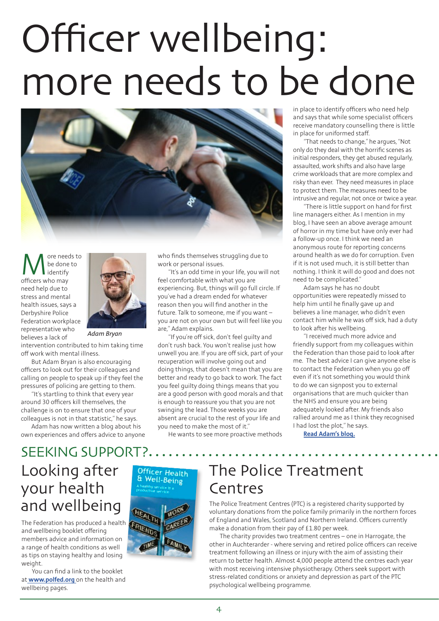# Officer wellbeing: more needs to be done



More needs to<br>be done to<br>officers who may be done to identify need help due to stress and mental health issues, says a Derbyshire Police Federation workplace representative who believes a lack of



*Adam Bryan*

intervention contributed to him taking time off work with mental illness.

But Adam Bryan is also encouraging officers to look out for their colleagues and calling on people to speak up if they feel the pressures of policing are getting to them.

"It's startling to think that every year around 30 officers kill themselves, the challenge is on to ensure that one of your colleagues is not in that statistic," he says.

Adam has now written a blog about his own experiences and offers advice to anyone who finds themselves struggling due to work or personal issues.

"It's an odd time in your life, you will not feel comfortable with what you are experiencing. But, things will go full circle. If you've had a dream ended for whatever reason then you will find another in the future. Talk to someone, me if you want – you are not on your own but will feel like you are," Adam explains.

"If you're off sick, don't feel guilty and don't rush back. You won't realise just how unwell you are. If you are off sick, part of your recuperation will involve going out and doing things, that doesn't mean that you are better and ready to go back to work. The fact you feel guilty doing things means that you are a good person with good morals and that is enough to reassure you that you are not swinging the lead. Those weeks you are absent are crucial to the rest of your life and you need to make the most of it."

He wants to see more proactive methods

in place to identify officers who need help and says that while some specialist officers receive mandatory counselling there is little in place for uniformed staff.

"That needs to change," he argues, "Not only do they deal with the horrific scenes as initial responders, they get abused regularly, assaulted, work shifts and also have large crime workloads that are more complex and risky than ever. They need measures in place to protect them. The measures need to be intrusive and regular, not once or twice a year.

"There is little support on hand for first line managers either. As I mention in my blog, I have seen an above average amount of horror in my time but have only ever had a follow-up once. I think we need an anonymous route for reporting concerns around health as we do for corruption. Even if it is not used much, it is still better than nothing. I think it will do good and does not need to be complicated."

Adam says he has no doubt opportunities were repeatedly missed to help him until he finally gave up and believes a line manager, who didn't even contact him while he was off sick, had a duty to look after his wellbeing.

"I received much more advice and friendly support from my colleagues within the Federation than those paid to look after me. The best advice I can give anyone else is to contact the Federation when you go off even if it's not something you would think to do we can signpost you to external organisations that are much quicker than the NHS and ensure you are being adequately looked after. My friends also rallied around me as I think they recognised I had lost the plot," he says.

**[Read Adam's blog.](https://www.polfed.org/derbys/news/2019-articles/mental-health-more-needs-to-be-done/)**

### Looking after your health and wellbeing SEEKING SUPPORT?

The Federation has produced a health and wellbeing booklet offering members advice and information on a range of health conditions as well as tips on staying healthy and losing weight.

You can find a link to the booklet at **[www.polfed.org](http:// www.polfed.org )** on the health and wellbeing pages.



## The Police Treatment Centres

The Police Treatment Centres (PTC) is a registered charity supported by voluntary donations from the police family primarily in the northern forces of England and Wales, Scotland and Northern Ireland. Officers currently make a donation from their pay of £1.80 per week.

The charity provides two treatment centres – one in Harrogate, the other in Auchterarder - where serving and retired police officers can receive treatment following an illness or injury with the aim of assisting their return to better health. Almost 4,000 people attend the centres each year with most receiving intensive physiotherapy. Others seek support with stress-related conditions or anxiety and depression as part of the PTC psychological wellbeing programme.

4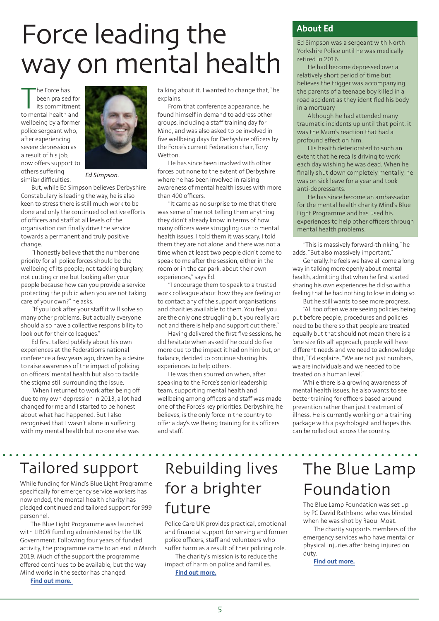# Force leading the way on mental health

The Force has<br>been praised for<br>its commitment<br>to mental health and he Force has been praised for its commitment wellbeing by a former police sergeant who, after experiencing severe depression as a result of his job, now offers support to others suffering similar difficulties.



*Ed Simpson.*

But, while Ed Simpson believes Derbyshire Constabulary is leading the way, he is also keen to stress there is still much work to be done and only the continued collective efforts of officers and staff at all levels of the organisation can finally drive the service towards a permanent and truly positive change.

"I honestly believe that the number one priority for all police forces should be the wellbeing of its people; not tackling burglary, not cutting crime but looking after your people because how can you provide a service protecting the public when you are not taking care of your own?" he asks.

"If you look after your staff it will solve so many other problems. But actually everyone should also have a collective responsibility to look out for their colleagues."

Ed first talked publicly about his own experiences at the Federation's national conference a few years ago, driven by a desire to raise awareness of the impact of policing on officers' mental health but also to tackle the stigma still surrounding the issue.

'When I returned to work after being off due to my own depression in 2013, a lot had changed for me and I started to be honest about what had happened. But I also recognised that I wasn't alone in suffering with my mental health but no one else was

talking about it. I wanted to change that," he explains.

From that conference appearance, he found himself in demand to address other groups, including a staff training day for Mind, and was also asked to be involved in five wellbeing days for Derbyshire officers by the Force's current Federation chair, Tony **Wetton** 

He has since been involved with other forces but none to the extent of Derbyshire where he has been involved in raising awareness of mental health issues with more than 400 officers.

"It came as no surprise to me that there was sense of me not telling them anything they didn't already know in terms of how many officers were struggling due to mental health issues. I told them it was scary, I told them they are not alone and there was not a time when at least two people didn't come to speak to me after the session, either in the room or in the car park, about their own experiences," says Ed.

"I encourage them to speak to a trusted work colleague about how they are feeling or to contact any of the support organisations and charities available to them. You feel you are the only one struggling but you really are not and there is help and support out there."

Having delivered the first five sessions, he did hesitate when asked if he could do five more due to the impact it had on him but, on balance, decided to continue sharing his experiences to help others.

He was then spurred on when, after speaking to the Force's senior leadership team, supporting mental health and wellbeing among officers and staff was made one of the Force's key priorities. Derbyshire, he believes, is the only force in the country to offer a day's wellbeing training for its officers and staff.

### **About Ed**

Ed Simpson was a sergeant with North Yorkshire Police until he was medically retired in 2016.

He had become depressed over a relatively short period of time but believes the trigger was accompanying the parents of a teenage boy killed in a road accident as they identified his body in a mortuary

Although he had attended many traumatic incidents up until that point, it was the Mum's reaction that had a profound effect on him.

His health deteriorated to such an extent that he recalls driving to work each day wishing he was dead. When he finally shut down completely mentally, he was on sick leave for a year and took anti-depressants.

He has since become an ambassador for the mental health charity Mind's Blue Light Programme and has used his experiences to help other officers through mental health problems.

"This is massively forward-thinking," he adds, "But also massively important."

Generally, he feels we have all come a long way in talking more openly about mental health, admitting that when he first started sharing his own experiences he did so with a feeling that he had nothing to lose in doing so.

But he still wants to see more progress.

"All too often we are seeing policies being put before people; procedures and policies need to be there so that people are treated equally but that should not mean there is a 'one size fits all' approach, people will have different needs and we need to acknowledge that," Ed explains, "We are not just numbers, we are individuals and we needed to be treated on a human level."

While there is a growing awareness of mental health issues, he also wants to see better training for officers based around prevention rather than just treatment of illness. He is currently working on a training package with a psychologist and hopes this can be rolled out across the country.

### Tailored support

While funding for Mind's Blue Light Programme specifically for emergency service workers has now ended, the mental health charity has pledged continued and tailored support for 999 personnel.

The Blue Light Programme was launched with LIBOR funding administered by the UK Government. Following four years of funded activity, the programme came to an end in March 2019. Much of the support the programme offered continues to be available, but the way Mind works in the sector has changed.

**[Find out more.](https://www.mind.org.uk/news-campaigns/campaigns/blue-light-support/)** 

## Rebuilding lives for a brighter future

Police Care UK provides practical, emotional and financial support for serving and former police officers, staff and volunteers who suffer harm as a result of their policing role.

The charity's mission is to reduce the impact of harm on police and families.

**[Find out more.](https://www.policecare.org.uk/)**

# The Blue Lamp Foundation

The Blue Lamp Foundation was set up by PC David Rathband who was blinded when he was shot by Raoul Moat.

The charity supports members of the emergency services who have mental or physical injuries after being injured on duty.

**[Find out more.](http://www.bluelampfoundation.org/)**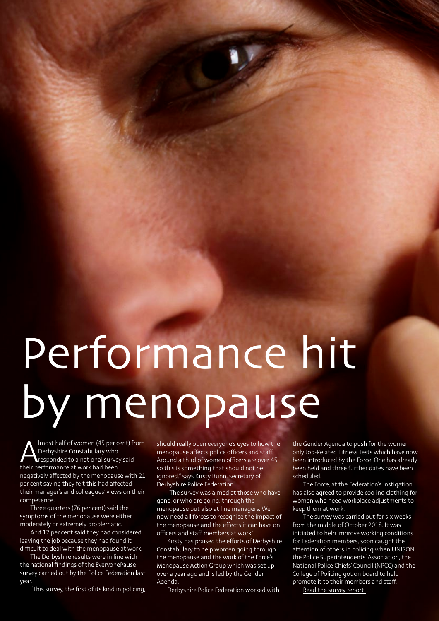# Performance hit by menopause

Imost half of women (45 per cent) from Derbyshire Constabulary who responded to a national survey said their performance at work had been negatively affected by the menopause with 21 per cent saying they felt this had affected their manager's and colleagues' views on their competence.

Three quarters (76 per cent) said the symptoms of the menopause were either moderately or extremely problematic.

And 17 per cent said they had considered leaving the job because they had found it difficult to deal with the menopause at work.

The Derbyshire results were in line with the national findings of the EveryonePause survey carried out by the Police Federation last year.

"This survey, the first of its kind in policing,

should really open everyone's eyes to how the menopause affects police officers and staff. Around a third of women officers are over 45 so this is something that should not be ignored," says Kirsty Bunn, secretary of Derbyshire Police Federation.

"The survey was aimed at those who have gone, or who are going, through the menopause but also at line managers. We now need all forces to recognise the impact of the menopause and the effects it can have on officers and staff members at work."

Kirsty has praised the efforts of Derbyshire Constabulary to help women going through the menopause and the work of the Force's Menopause Action Group which was set up over a year ago and is led by the Gender Agenda.

Derbyshire Police Federation worked with

the Gender Agenda to push for the women only Job-Related Fitness Tests which have now been introduced by the Force. One has already been held and three further dates have been scheduled.

The Force, at the Federation's instigation, has also agreed to provide cooling clothing for women who need workplace adjustments to keep them at work.

The survey was carried out for six weeks from the middle of October 2018. It was initiated to help improve working conditions for Federation members, soon caught the attention of others in policing when UNISON, the Police Superintendents' Association, the National Police Chiefs' Council (NPCC) and the College of Policing got on board to help promote it to their members and staff.

[Read the survey report.](https://www.polfed.org/media/14789/menopause-survey-2018-derbyshire-constabulary-18-03-19-v10.pdf)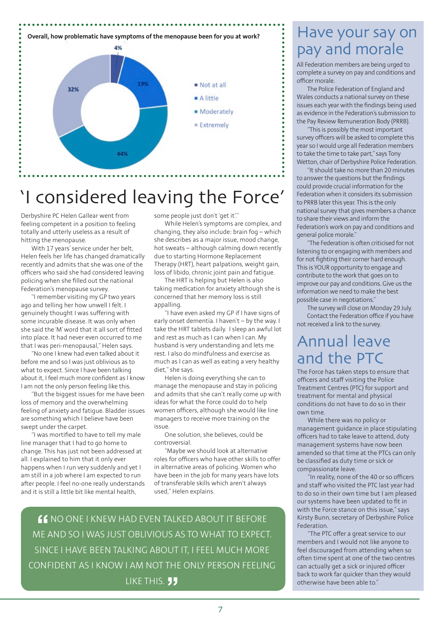

# 'I considered leaving the Force'

Derbyshire PC Helen Gallear went from feeling competent in a position to feeling totally and utterly useless as a result of hitting the menopause.

With 17 years' service under her belt, Helen feels her life has changed dramatically recently and admits that she was one of the officers who said she had considered leaving policing when she filled out the national Federation's menopause survey.

"I remember visiting my GP two years ago and telling her how unwell I felt. I genuinely thought I was suffering with some incurable disease. It was only when she said the 'M' word that it all sort of fitted into place. It had never even occurred to me that I was peri-menopausal," Helen says.

"No one I knew had even talked about it before me and so I was just oblivious as to what to expect. Since I have been talking about it, I feel much more confident as I know I am not the only person feeling like this.

"But the biggest issues for me have been loss of memory and the overwhelming feeling of anxiety and fatigue. Bladder issues are something which I believe have been swept under the carpet.

"I was mortified to have to tell my male line manager that I had to go home to change. This has just not been addressed at all. I explained to him that it only ever happens when I run very suddenly and yet I am still in a job where I am expected to run after people. I feel no-one really understands and it is still a little bit like mental health,

some people just don't 'get it'."

While Helen's symptoms are complex, and changing, they also include: brain fog – which she describes as a major issue, mood change, hot sweats – although calming down recently due to starting Hormone Replacement Therapy (HRT), heart palpations, weight gain, loss of libido, chronic joint pain and fatigue.

The HRT is helping but Helen is also taking medication for anxiety although she is concerned that her memory loss is still appalling

"I have even asked my GP if I have signs of early onset dementia. I haven't – by the way. I take the HRT tablets daily. I sleep an awful lot and rest as much as I can when I can. My husband is very understanding and lets me rest. I also do mindfulness and exercise as much as I can as well as eating a very healthy diet," she says.

Helen is doing everything she can to manage the menopause and stay in policing and admits that she can't really come up with ideas for what the Force could do to help women officers, although she would like line managers to receive more training on the issue.

One solution, she believes, could be controversial.

"Maybe we should look at alternative roles for officers who have other skills to offer in alternative areas of policing. Women who have been in the job for many years have lots of transferable skills which aren't always used," Helen explains.

**"**NO ONE I KNEW HAD EVEN TALKED ABOUT IT BEFORE ME AND SO I WAS JUST OBLIVIOUS AS TO WHAT TO EXPECT. SINCE I HAVE BEEN TALKING ABOUT IT, I FEEL MUCH MORE CONFIDENT AS I KNOW I AM NOT THE ONLY PERSON FEELING LIKE THIS. **JJ** 

# pay and morale

All Federation members are being urged to complete a survey on pay and conditions and officer morale.

The Police Federation of England and Wales conducts a national survey on these issues each year with the findings being used as evidence in the Federation's submission to the Pay Review Remuneration Body (PRRB).

"This is possibly the most important survey officers will be asked to complete this year so I would urge all Federation members to take the time to take part," says Tony Wetton, chair of Derbyshire Police Federation.

"It should take no more than 20 minutes to answer the questions but the findings could provide crucial information for the Federation when it considers its submission to PRRB later this year. This is the only national survey that gives members a chance to share their views and inform the Federation's work on pay and conditions and general police morale."

"The Federation is often criticised for not listening to or engaging with members and for not fighting their corner hard enough. This is YOUR opportunity to engage and contribute to the work that goes on to improve our pay and conditions. Give us the information we need to make the best possible case in negotiations."

The survey will close on Monday 29 July. Contact the Federation office if you have not received a link to the survey.

### Annual leave and the PTC

The Force has taken steps to ensure that officers and staff visiting the Police Treatment Centres (PTC) for support and treatment for mental and physical conditions do not have to do so in their own time.

While there was no policy or management guidance in place stipulating officers had to take leave to attend, duty management systems have now been amended so that time at the PTCs can only be classified as duty time or sick or compassionate leave.

"In reality, none of the 40 or so officers and staff who visited the PTC last year had to do so in their own time but I am pleased our systems have been updated to fit in with the Force stance on this issue," says Kirsty Bunn, secretary of Derbyshire Police Federation.

"The PTC offer a great service to our members and I would not like anyone to feel discouraged from attending when so often time spent at one of the two centres can actually get a sick or injured officer back to work far quicker than they would otherwise have been able to."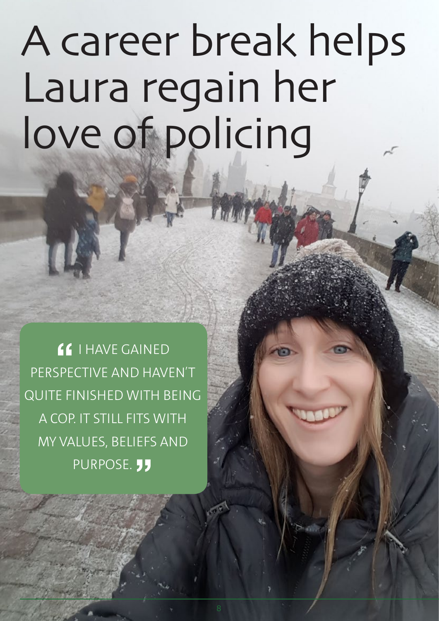# A career break helps Laura regain her love of policing

**"**I HAVE GAINED PERSPECTIVE AND HAVEN'T QUITE FINISHED WITH BEING A COP. IT STILL FITS WITH MY VALUES, BELIEFS AND PURPOSE. **JJ**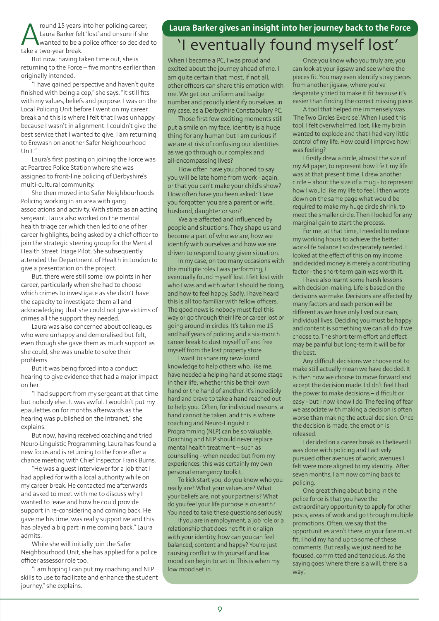Fround 15 years into her policing career,<br>Laura Barker felt 'lost' and unsure if she<br>Lake a two-year break Laura Barker felt 'lost' and unsure if she wanted to be a police officer so decided to take a two-year break.

But now, having taken time out, she is returning to the Force – five months earlier than originally intended.

"I have gained perspective and haven't quite finished with being a cop," she says, "It still fits with my values, beliefs and purpose. I was on the Local Policing Unit before I went on my career break and this is where I felt that I was unhappy because I wasn't in alignment. I couldn't give the best service that I wanted to give. I am returning to Erewash on another Safer Neighbourhood Unit."

Laura's first posting on joining the Force was at Peartree Police Station where she was assigned to front-line policing of Derbyshire's multi-cultural community.

She then moved into Safer Neighbourhoods Policing working in an area with gang associations and activity. With stints as an acting sergeant, Laura also worked on the mental health triage car which then led to one of her career highlights, being asked by a chief officer to join the strategic steering group for the Mental Health Street Triage Pilot. She subsequently attended the Department of Health in London to give a presentation on the project.

But, there were still some low points in her career, particularly when she had to choose which crimes to investigate as she didn't have the capacity to investigate them all and acknowledging that she could not give victims of crimes all the support they needed.

Laura was also concerned about colleagues who were unhappy and demoralised but felt, even though she gave them as much support as she could, she was unable to solve their problems.

But it was being forced into a conduct hearing to give evidence that had a major impact on her.

"I had support from my sergeant at that time but nobody else. It was awful. I wouldn't put my epaulettes on for months afterwards as the hearing was published on the Intranet," she **explains** 

But now, having received coaching and tried Neuro-Linguistic Programming, Laura has found a new focus and is returning to the Force after a chance meeting with Chief Inspector Frank Burns.

"He was a guest interviewer for a job that I had applied for with a local authority while on my career break. He contacted me afterwards and asked to meet with me to discuss why I wanted to leave and how he could provide support in re-considering and coming back. He gave me his time, was really supportive and this has played a big part in me coming back," Laura admits.

While she will initially join the Safer Neighbourhood Unit, she has applied for a police officer assessor role too.

"I am hoping I can put my coaching and NLP skills to use to facilitate and enhance the student journey," she explains.

### **Laura Barker gives an insight into her journey back to the Force**

### 'I eventually found myself lost'

When I became a PC, I was proud and excited about the journey ahead of me. I am quite certain that most, if not all, other officers can share this emotion with me. We get our uniform and badge number and proudly identify ourselves, in my case, as a Derbyshire Constabulary PC.

Those first few exciting moments still put a smile on my face. Identity is a huge thing for any human but I am curious if we are at risk of confusing our identities as we go through our complex and all-encompassing lives?

How often have you phoned to say you will be late home from work - again, or that you can't make your child's show? How often have you been asked: 'Have you forgotten you are a parent or wife, husband, daughter or son?

We are affected and influenced by people and situations. They shape us and become a part of who we are, how we identify with ourselves and how we are driven to respond to any given situation.

In my case, on too many occasions with the multiple roles I was performing, I eventually found myself lost. I felt lost with who I was and with what I should be doing, and how to feel happy. Sadly, I have heard this is all too familiar with fellow officers. The good news is nobody must feel this way or go through their life or career lost or going around in circles. It's taken me 15 and half years of policing and a six-month career break to dust myself off and free myself from the lost property store.

I want to share my new-found knowledge to help others who, like me, have needed a helping hand at some stage in their life; whether this be their own hand or the hand of another. It's incredibly hard and brave to take a hand reached out to help you. Often, for individual reasons, a hand cannot be taken, and this is where coaching and Neuro-Linguistic Programming (NLP) can be so valuable. Coaching and NLP should never replace mental health treatment – such as counselling - when needed but from my experiences, this was certainly my own personal emergency toolkit.

To kick start you, do you know who you really are? What your values are? What your beliefs are, not your partner's? What do you feel your life purpose is on earth? You need to take these questions seriously.

If you are in employment, a job role or a relationship that does not fit in or align with your identity, how can you can feel balanced, content and happy? You're just causing conflict with yourself and low mood can begin to set in. This is when my low mood set in.

Once you know who you truly are, you can look at your jigsaw and see where the pieces fit. You may even identify stray pieces from another jigsaw, where you've desperately tried to make it fit because it's easier than finding the correct missing piece.

A tool that helped me immensely was 'The Two Circles Exercise'. When I used this tool, I felt overwhelmed, lost, like my brain wanted to explode and that I had very little control of my life. How could I improve how I was feeling?

I firstly drew a circle, almost the size of my A4 paper, to represent how I felt my life was at that present time. I drew another circle – about the size of a mug - to represent how I would like my life to feel. I then wrote down on the same page what would be required to make my huge circle shrink, to meet the smaller circle. Then I looked for any marginal gain to start the process.

For me, at that time, I needed to reduce my working hours to achieve the better work-life balance I so desperately needed. I looked at the effect of this on my income and decided money is merely a contributing factor - the short-term gain was worth it.

I have also learnt some harsh lessons with decision-making. Life is based on the decisions we make. Decisions are affected by many factors and each person will be different as we have only lived our own, individual lives. Deciding you must be happy and content is something we can all do if we choose to. The short-term effort and effect may be painful but long-term it will be for the best.

Any difficult decisions we choose not to make still actually mean we have decided. It is then how we choose to move forward and accept the decision made. I didn't feel I had the power to make decisions – difficult or easy - but I now know I do. The feeling of fear we associate with making a decision is often worse than making the actual decision. Once the decision is made, the emotion is released.

I decided on a career break as I believed I was done with policing and I actively pursued other avenues of work; avenues I felt were more aligned to my identity. After seven months, I am now coming back to policing.

One great thing about being in the police force is that you have the extraordinary opportunity to apply for other posts, areas of work and go through multiple promotions. Often, we say that the opportunities aren't there, or your face must fit. I hold my hand up to some of these comments. But really, we just need to be focused, committed and tenacious. As the saying goes 'where there is a will, there is a way'.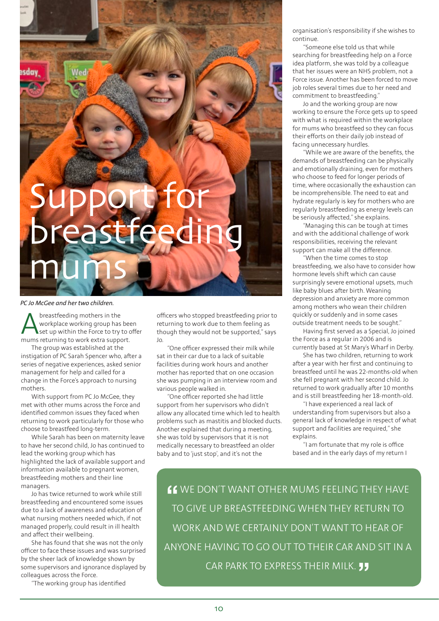# Support for breastfeeding mums

*PC Jo McGee and her two children.*

**A** breastfeeding mothers in the<br>workplace working group has<br>mums returning to work extra suppo workplace working group has been set up within the Force to try to offer mums returning to work extra support.

The group was established at the instigation of PC Sarah Spencer who, after a series of negative experiences, asked senior management for help and called for a change in the Force's approach to nursing mothers.

With support from PC Jo McGee, they met with other mums across the Force and identified common issues they faced when returning to work particularly for those who choose to breastfeed long-term.

While Sarah has been on maternity leave to have her second child, Jo has continued to lead the working group which has highlighted the lack of available support and information available to pregnant women, breastfeeding mothers and their line managers.

Jo has twice returned to work while still breastfeeding and encountered some issues due to a lack of awareness and education of what nursing mothers needed which, if not managed properly, could result in ill health and affect their wellbeing.

She has found that she was not the only officer to face these issues and was surprised by the sheer lack of knowledge shown by some supervisors and ignorance displayed by colleagues across the Force.

"The working group has identified

officers who stopped breastfeeding prior to returning to work due to them feeling as though they would not be supported," says Jo.

"One officer expressed their milk while sat in their car due to a lack of suitable facilities during work hours and another mother has reported that on one occasion she was pumping in an interview room and various people walked in.

"One officer reported she had little support from her supervisors who didn't allow any allocated time which led to health problems such as mastitis and blocked ducts. Another explained that during a meeting, she was told by supervisors that it is not medically necessary to breastfeed an older baby and to 'just stop', and it's not the

organisation's responsibility if she wishes to continue.

"Someone else told us that while searching for breastfeeding help on a Force idea platform, she was told by a colleague that her issues were an NHS problem, not a Force issue. Another has been forced to move job roles several times due to her need and commitment to breastfeeding."

Jo and the working group are now working to ensure the Force gets up to speed with what is required within the workplace for mums who breastfeed so they can focus their efforts on their daily job instead of facing unnecessary hurdles.

"While we are aware of the benefits, the demands of breastfeeding can be physically and emotionally draining, even for mothers who choose to feed for longer periods of time, where occasionally the exhaustion can be incomprehensible. The need to eat and hydrate regularly is key for mothers who are regularly breastfeeding as energy levels can be seriously affected," she explains.

"Managing this can be tough at times and with the additional challenge of work responsibilities, receiving the relevant support can make all the difference.

"When the time comes to stop breastfeeding, we also have to consider how hormone levels shift which can cause surprisingly severe emotional upsets, much like baby blues after birth. Weaning depression and anxiety are more common among mothers who wean their children quickly or suddenly and in some cases outside treatment needs to be sought."

Having first served as a Special, Jo joined the Force as a regular in 2006 and is currently based at St Mary's Wharf in Derby.

She has two children, returning to work after a year with her first and continuing to breastfeed until he was 22-months-old when she fell pregnant with her second child. Jo returned to work gradually after 10 months and is still breastfeeding her 18-month-old.

"I have experienced a real lack of understanding from supervisors but also a general lack of knowledge in respect of what support and facilities are required," she explains.

"I am fortunate that my role is office based and in the early days of my return I

**"**WE DON'T WANT OTHER MUMS FEELING THEY HAVE TO GIVE UP BREASTFEEDING WHEN THEY RETURN TO WORK AND WE CERTAINLY DON'T WANT TO HEAR OF ANYONE HAVING TO GO OUT TO THEIR CAR AND SIT IN A CAR PARK TO EXPRESS THEIR MILK.**"**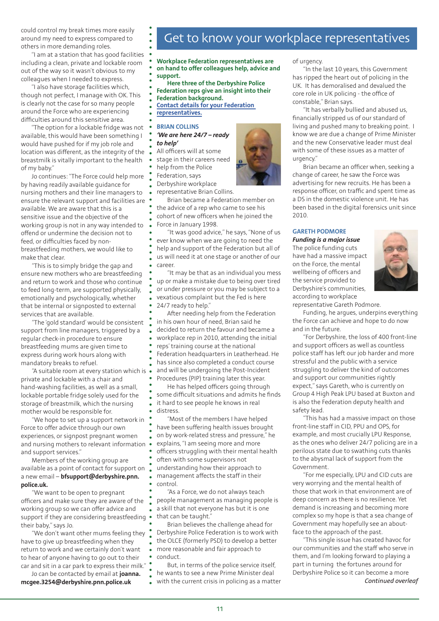could control my break times more easily around my need to express compared to others in more demanding roles.

"I am at a station that has good facilities including a clean, private and lockable room out of the way so it wasn't obvious to my colleagues when I needed to express.

"I also have storage facilities which, though not perfect, I manage with OK. This is clearly not the case for so many people around the Force who are experiencing difficulties around this sensitive area.

"The option for a lockable fridge was not available, this would have been something I would have pushed for if my job role and location was different, as the integrity of the breastmilk is vitally important to the health of my baby."

Jo continues: "The Force could help more by having readily available guidance for nursing mothers and their line managers to ensure the relevant support and facilities are available. We are aware that this is a sensitive issue and the objective of the working group is not in any way intended to offend or undermine the decision not to feed, or difficulties faced by nonbreastfeeding mothers, we would like to make that clear.

"This is to simply bridge the gap and ensure new mothers who are breastfeeding and return to work and those who continue to feed long-term, are supported physically, emotionally and psychologically, whether that be internal or signposted to external services that are available.

"The 'gold standard' would be consistent support from line managers, triggered by a regular check-in procedure to ensure breastfeeding mums are given time to express during work hours along with mandatory breaks to refuel.

"A suitable room at every station which is private and lockable with a chair and hand-washing facilities, as well as a small, lockable portable fridge solely used for the storage of breastmilk, which the nursing mother would be responsible for.

"We hope to set up a support network in Force to offer advice through our own experiences, or signpost pregnant women and nursing mothers to relevant information and support services."

Members of the working group are available as a point of contact for support on a new email – **[bfsupport@derbyshire.pnn.](mailto:bfsupport@derbyshire.pnn.police.uk) [police.uk.](mailto:bfsupport@derbyshire.pnn.police.uk)**

"We want to be open to pregnant officers and make sure they are aware of the working group so we can offer advice and support if they are considering breastfeeding their baby," says Jo.

"We don't want other mums feeling they have to give up breastfeeding when they return to work and we certainly don't want to hear of anyone having to go out to their car and sit in a car park to express their milk."

Jo can be contacted by email at **[joanna.](mailto:joanna.mcgee.3254@derbyshire.pnn.police.uk) [mcgee.3254@derbyshire.pnn.police.uk](mailto:joanna.mcgee.3254@derbyshire.pnn.police.uk)**

### Get to know your workplace representatives

**Workplace Federation representatives are on hand to offer colleagues help, advice and support.**

**Here three of the Derbyshire Police Federation reps give an insight into their Federation background.**

- **[Contact details for your Federation](https://www.polfed.org/derbys/about-us/meet-the-team/)**
- **[representatives.](https://www.polfed.org/derbys/about-us/meet-the-team/)**

#### **BRIAN COLLINS**

*'We are here 24/7 – ready to help'*

All officers will at some stage in their careers need help from the Police

Federation, says

Derbyshire workplace

representative Brian Collins.

Brian became a Federation member on

the advice of a rep who came to see his

cohort of new officers when he joined the Force in January 1998.

"It was good advice," he says, "None of us ever know when we are going to need the help and support of the Federation but all of us will need it at one stage or another of our career.

"It may be that as an individual you mess up or make a mistake due to being over tired or under pressure or you may be subject to a vexatious complaint but the Fed is here 24/7 ready to help."

After needing help from the Federation in his own hour of need, Brian said he decided to return the favour and became a workplace rep in 2010, attending the initial reps' training course at the national Federation headquarters in Leatherhead. He has since also completed a conduct course and will be undergoing the Post-Incident Procedures (PIP) training later this year.

He has helped officers going through some difficult situations and admits he finds it hard to see people he knows in real distress.

"Most of the members I have helped have been suffering health issues brought on by work-related stress and pressure," he explains, "I am seeing more and more officers struggling with their mental health often with some supervisors not understanding how their approach to management affects the staff in their control.

"As a Force, we do not always teach people management as managing people is a skill that not everyone has but it is one that can be taught."

Brian believes the challenge ahead for Derbyshire Police Federation is to work with the OLCE (formerly PSD) to develop a better more reasonable and fair approach to conduct.

But, in terms of the police service itself, he wants to see a new Prime Minister deal with the current crisis in policing as a matter

11

of urgency.

"In the last 10 years, this Government has ripped the heart out of policing in the UK. It has demoralised and devalued the core role in UK policing - the office of constable," Brian says.

"It has verbally bullied and abused us, financially stripped us of our standard of living and pushed many to breaking point. I know we are due a change of Prime Minister and the new Conservative leader must deal with some of these issues as a matter of urgency."

Brian became an officer when, seeking a change of career, he saw the Force was advertising for new recruits. He has been a response officer, on traffic and spent time as a DS in the domestic violence unit. He has been based in the digital forensics unit since 2010.

#### **GARETH PODMORE**

*Funding is a major issue* The police funding cuts have had a massive impact on the Force, the mental wellbeing of officers and the service provided to Derbyshire's communities, according to workplace



representative Gareth Podmore.

Funding, he argues, underpins everything the Force can achieve and hope to do now and in the future.

"For Derbyshire, the loss of 400 front-line and support officers as well as countless police staff has left our job harder and more stressful and the public with a service struggling to deliver the kind of outcomes and support our communities rightly expect," says Gareth, who is currently on Group 4 High Peak LPU based at Buxton and is also the Federation deputy health and safety lead.

"This has had a massive impact on those front-line staff in CID, PPU and OPS, for example, and most crucially LPU Response, as the ones who deliver 24/7 policing are in a perilous state due to swathing cuts thanks to the abysmal lack of support from the Government.

"For me especially, LPU and CID cuts are very worrying and the mental health of those that work in that environment are of deep concern as there is no resilience. Yet demand is increasing and becoming more complex so my hope is that a sea change of Government may hopefully see an aboutface to the approach of the past.

"This single issue has created havoc for our communities and the staff who serve in them, and I'm looking forward to playing a part in turning the fortunes around for Derbyshire Police so it can become a more *Continued overleaf*